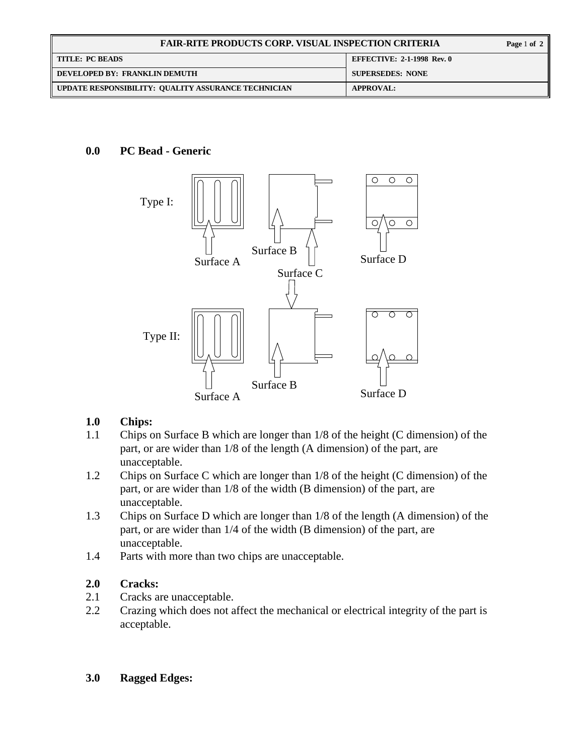| <b>FAIR-RITE PRODUCTS CORP. VISUAL INSPECTION CRITERIA</b> |                                   |
|------------------------------------------------------------|-----------------------------------|
| <b>TITLE: PC BEADS</b>                                     | <b>EFFECTIVE: 2-1-1998 Rev. 0</b> |
| DEVELOPED BY: FRANKLIN DEMUTH                              | <b>SUPERSEDES: NONE</b>           |
| UPDATE RESPONSIBILITY: QUALITY ASSURANCE TECHNICIAN        | <b>APPROVAL:</b>                  |

## **0.0 PC Bead - Generic**



### **1.0 Chips:**

- 1.1 Chips on Surface B which are longer than 1/8 of the height (C dimension) of the part, or are wider than 1/8 of the length (A dimension) of the part, are unacceptable.
- 1.2 Chips on Surface C which are longer than 1/8 of the height (C dimension) of the part, or are wider than 1/8 of the width (B dimension) of the part, are unacceptable.
- 1.3 Chips on Surface D which are longer than 1/8 of the length (A dimension) of the part, or are wider than 1/4 of the width (B dimension) of the part, are unacceptable.
- 1.4 Parts with more than two chips are unacceptable.

# **2.0 Cracks:**

- 2.1 Cracks are unacceptable.
- 2.2 Crazing which does not affect the mechanical or electrical integrity of the part is acceptable.

### **3.0 Ragged Edges:**